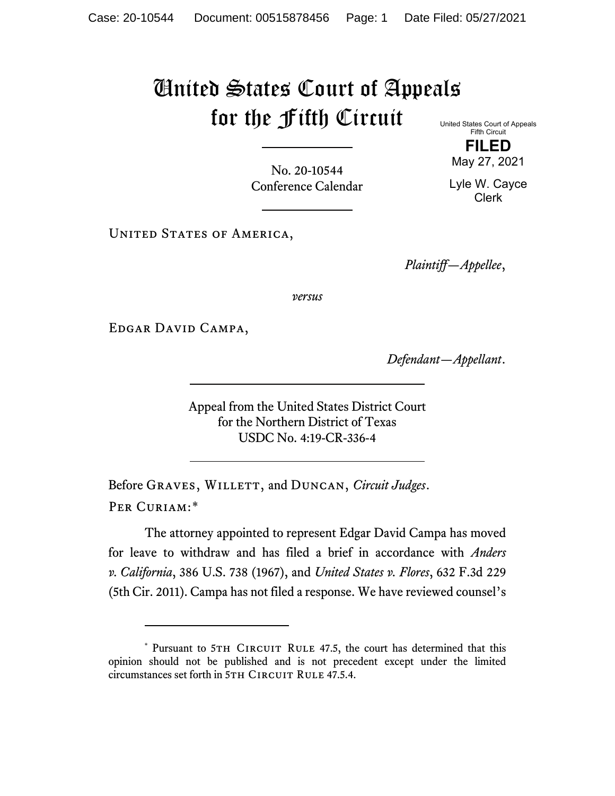## United States Court of Appeals for the Fifth Circuit United States Court of Appeals

Fifth Circuit **FILED**

No. 20-10544 Conference Calendar

May 27, 2021 Lyle W. Cayce Clerk

UNITED STATES OF AMERICA,

*Plaintiff—Appellee*,

*versus*

Edgar David Campa,

*Defendant—Appellant*.

Appeal from the United States District Court for the Northern District of Texas USDC No. 4:19-CR-336-4

Before GRAVES, WILLETT, and DUNCAN, *Circuit Judges*. Per Curiam:[\\*](#page-0-0)

The attorney appointed to represent Edgar David Campa has moved for leave to withdraw and has filed a brief in accordance with *Anders v. California*, 386 U.S. 738 (1967), and *United States v. Flores*, 632 F.3d 229 (5th Cir. 2011). Campa has not filed a response. We have reviewed counsel's

<span id="page-0-0"></span><sup>\*</sup> Pursuant to 5TH CIRCUIT RULE 47.5, the court has determined that this opinion should not be published and is not precedent except under the limited circumstances set forth in 5TH CIRCUIT RULE 47.5.4.